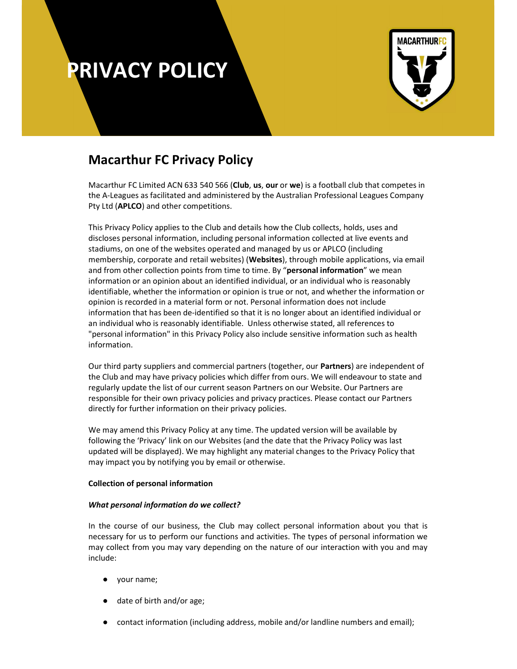

### Macarthur FC Privacy Policy

Macarthur FC Limited ACN 633 540 566 (Club, us, our or we) is a football club that competes in the A-Leagues as facilitated and administered by the Australian Professional Leagues Company Pty Ltd (APLCO) and other competitions.

This Privacy Policy applies to the Club and details how the Club collects, holds, uses and discloses personal information, including personal information collected at live events and stadiums, on one of the websites operated and managed by us or APLCO (including membership, corporate and retail websites) (Websites), through mobile applications, via email and from other collection points from time to time. By "personal information" we mean information or an opinion about an identified individual, or an individual who is reasonably identifiable, whether the information or opinion is true or not, and whether the information or opinion is recorded in a material form or not. Personal information does not include information that has been de-identified so that it is no longer about an identified individual or an individual who is reasonably identifiable. Unless otherwise stated, all references to "personal information" in this Privacy Policy also include sensitive information such as health information.

Our third party suppliers and commercial partners (together, our Partners) are independent of the Club and may have privacy policies which differ from ours. We will endeavour to state and regularly update the list of our current season Partners on our Website. Our Partners are responsible for their own privacy policies and privacy practices. Please contact our Partners directly for further information on their privacy policies.

We may amend this Privacy Policy at any time. The updated version will be available by following the 'Privacy' link on our Websites (and the date that the Privacy Policy was last updated will be displayed). We may highlight any material changes to the Privacy Policy that may impact you by notifying you by email or otherwise.

### Collection of personal information

### What personal information do we collect?

In the course of our business, the Club may collect personal information about you that is necessary for us to perform our functions and activities. The types of personal information we may collect from you may vary depending on the nature of our interaction with you and may include:

- your name;
- date of birth and/or age;
- contact information (including address, mobile and/or landline numbers and email);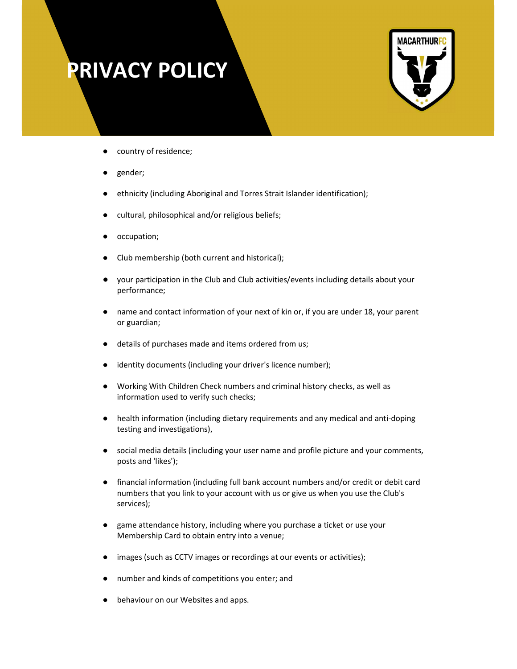

- country of residence;
- gender;
- ethnicity (including Aboriginal and Torres Strait Islander identification);
- cultural, philosophical and/or religious beliefs;
- occupation;
- Club membership (both current and historical);
- your participation in the Club and Club activities/events including details about your performance;
- name and contact information of your next of kin or, if you are under 18, your parent or guardian;
- details of purchases made and items ordered from us;
- identity documents (including your driver's licence number);
- Working With Children Check numbers and criminal history checks, as well as information used to verify such checks;
- health information (including dietary requirements and any medical and anti-doping testing and investigations),
- social media details (including your user name and profile picture and your comments, posts and 'likes');
- financial information (including full bank account numbers and/or credit or debit card numbers that you link to your account with us or give us when you use the Club's services);
- game attendance history, including where you purchase a ticket or use your Membership Card to obtain entry into a venue;
- images (such as CCTV images or recordings at our events or activities);
- number and kinds of competitions you enter; and
- behaviour on our Websites and apps.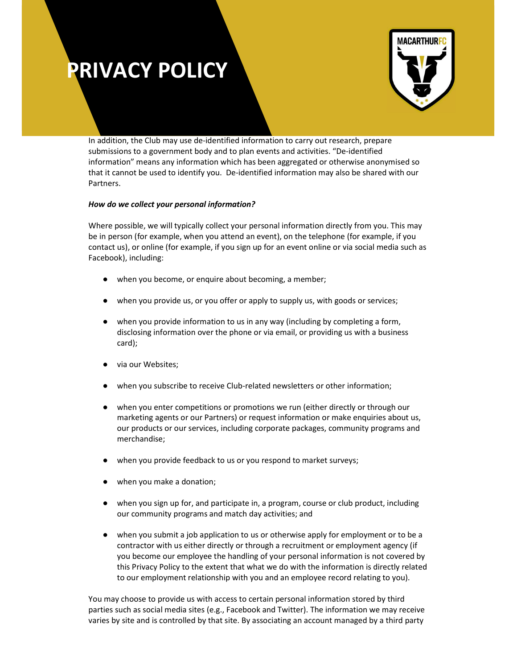

In addition, the Club may use de-identified information to carry out research, prepare submissions to a government body and to plan events and activities. "De-identified information" means any information which has been aggregated or otherwise anonymised so that it cannot be used to identify you. De-identified information may also be shared with our Partners.

### How do we collect your personal information?

Where possible, we will typically collect your personal information directly from you. This may be in person (for example, when you attend an event), on the telephone (for example, if you contact us), or online (for example, if you sign up for an event online or via social media such as Facebook), including:

- when you become, or enquire about becoming, a member;
- when you provide us, or you offer or apply to supply us, with goods or services;
- when you provide information to us in any way (including by completing a form, disclosing information over the phone or via email, or providing us with a business card);
- via our Websites;
- when you subscribe to receive Club-related newsletters or other information;
- when you enter competitions or promotions we run (either directly or through our marketing agents or our Partners) or request information or make enquiries about us, our products or our services, including corporate packages, community programs and merchandise;
- when you provide feedback to us or you respond to market surveys;
- when you make a donation;
- when you sign up for, and participate in, a program, course or club product, including our community programs and match day activities; and
- when you submit a job application to us or otherwise apply for employment or to be a contractor with us either directly or through a recruitment or employment agency (if you become our employee the handling of your personal information is not covered by this Privacy Policy to the extent that what we do with the information is directly related to our employment relationship with you and an employee record relating to you).

You may choose to provide us with access to certain personal information stored by third parties such as social media sites (e.g., Facebook and Twitter). The information we may receive varies by site and is controlled by that site. By associating an account managed by a third party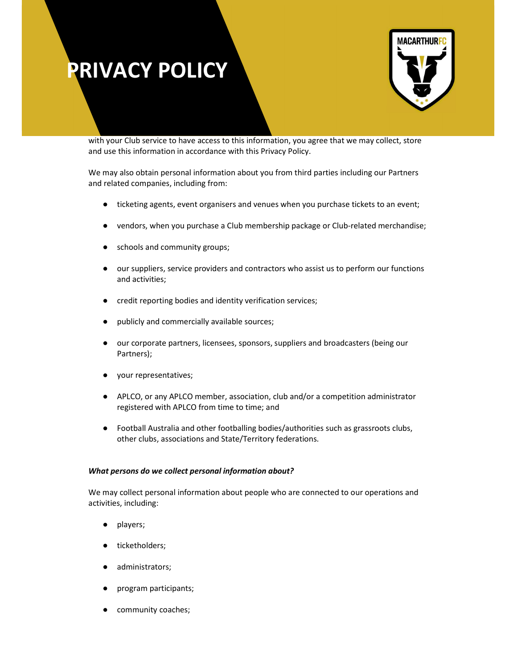

with your Club service to have access to this information, you agree that we may collect, store and use this information in accordance with this Privacy Policy.

We may also obtain personal information about you from third parties including our Partners and related companies, including from:

- ticketing agents, event organisers and venues when you purchase tickets to an event;
- vendors, when you purchase a Club membership package or Club-related merchandise;
- schools and community groups;
- our suppliers, service providers and contractors who assist us to perform our functions and activities;
- credit reporting bodies and identity verification services;
- publicly and commercially available sources;
- our corporate partners, licensees, sponsors, suppliers and broadcasters (being our Partners);
- your representatives;
- APLCO, or any APLCO member, association, club and/or a competition administrator registered with APLCO from time to time; and
- Football Australia and other footballing bodies/authorities such as grassroots clubs, other clubs, associations and State/Territory federations.

### What persons do we collect personal information about?

We may collect personal information about people who are connected to our operations and activities, including:

- players;
- ticketholders;
- administrators;
- program participants;
- community coaches;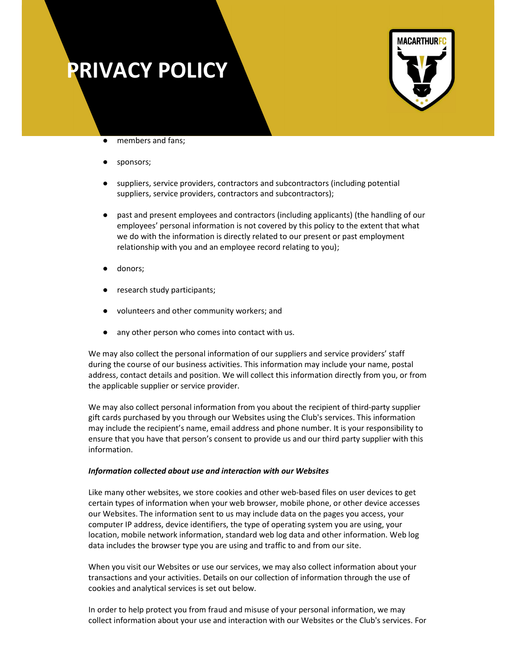

- members and fans;
- sponsors;
- suppliers, service providers, contractors and subcontractors (including potential suppliers, service providers, contractors and subcontractors);
- past and present employees and contractors (including applicants) (the handling of our employees' personal information is not covered by this policy to the extent that what we do with the information is directly related to our present or past employment relationship with you and an employee record relating to you);
- donors;
- research study participants;
- volunteers and other community workers; and
- any other person who comes into contact with us.

We may also collect the personal information of our suppliers and service providers' staff during the course of our business activities. This information may include your name, postal address, contact details and position. We will collect this information directly from you, or from the applicable supplier or service provider.

We may also collect personal information from you about the recipient of third-party supplier gift cards purchased by you through our Websites using the Club's services. This information may include the recipient's name, email address and phone number. It is your responsibility to ensure that you have that person's consent to provide us and our third party supplier with this information.

#### Information collected about use and interaction with our Websites

Like many other websites, we store cookies and other web-based files on user devices to get certain types of information when your web browser, mobile phone, or other device accesses our Websites. The information sent to us may include data on the pages you access, your computer IP address, device identifiers, the type of operating system you are using, your location, mobile network information, standard web log data and other information. Web log data includes the browser type you are using and traffic to and from our site.

When you visit our Websites or use our services, we may also collect information about your transactions and your activities. Details on our collection of information through the use of cookies and analytical services is set out below.

In order to help protect you from fraud and misuse of your personal information, we may collect information about your use and interaction with our Websites or the Club's services. For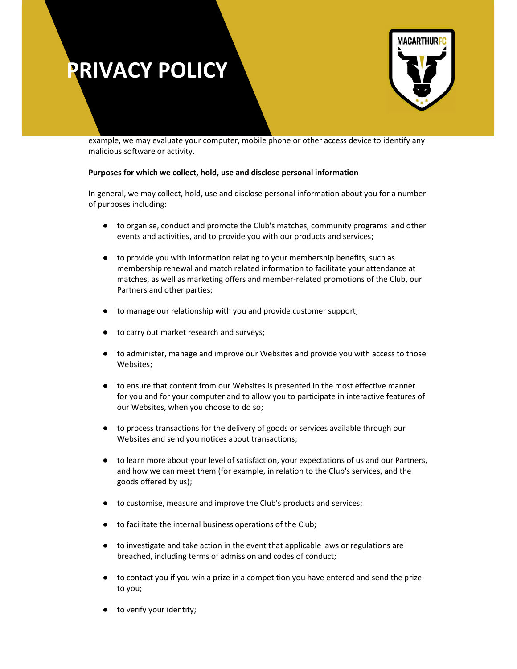

example, we may evaluate your computer, mobile phone or other access device to identify any malicious software or activity.

### Purposes for which we collect, hold, use and disclose personal information

In general, we may collect, hold, use and disclose personal information about you for a number of purposes including:

- to organise, conduct and promote the Club's matches, community programs and other events and activities, and to provide you with our products and services;
- to provide you with information relating to your membership benefits, such as membership renewal and match related information to facilitate your attendance at matches, as well as marketing offers and member-related promotions of the Club, our Partners and other parties;
- to manage our relationship with you and provide customer support;
- to carry out market research and surveys;
- to administer, manage and improve our Websites and provide you with access to those Websites;
- to ensure that content from our Websites is presented in the most effective manner for you and for your computer and to allow you to participate in interactive features of our Websites, when you choose to do so;
- to process transactions for the delivery of goods or services available through our Websites and send you notices about transactions;
- to learn more about your level of satisfaction, your expectations of us and our Partners, and how we can meet them (for example, in relation to the Club's services, and the goods offered by us);
- to customise, measure and improve the Club's products and services;
- to facilitate the internal business operations of the Club;
- to investigate and take action in the event that applicable laws or regulations are breached, including terms of admission and codes of conduct;
- to contact you if you win a prize in a competition you have entered and send the prize to you;
- to verify your identity;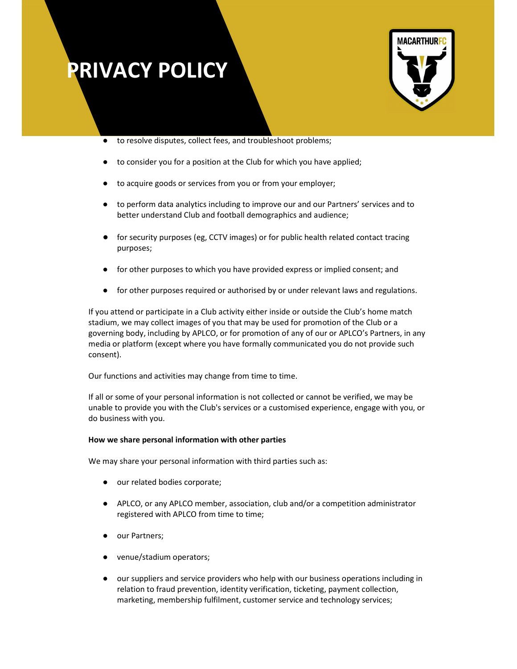

- to resolve disputes, collect fees, and troubleshoot problems;
- to consider you for a position at the Club for which you have applied;
- to acquire goods or services from you or from your employer;
- to perform data analytics including to improve our and our Partners' services and to better understand Club and football demographics and audience;
- for security purposes (eg, CCTV images) or for public health related contact tracing purposes;
- for other purposes to which you have provided express or implied consent; and
- for other purposes required or authorised by or under relevant laws and regulations.

If you attend or participate in a Club activity either inside or outside the Club's home match stadium, we may collect images of you that may be used for promotion of the Club or a governing body, including by APLCO, or for promotion of any of our or APLCO's Partners, in any media or platform (except where you have formally communicated you do not provide such consent).

Our functions and activities may change from time to time.

If all or some of your personal information is not collected or cannot be verified, we may be unable to provide you with the Club's services or a customised experience, engage with you, or do business with you.

#### How we share personal information with other parties

We may share your personal information with third parties such as:

- our related bodies corporate;
- APLCO, or any APLCO member, association, club and/or a competition administrator registered with APLCO from time to time;
- our Partners;
- venue/stadium operators;
- our suppliers and service providers who help with our business operations including in relation to fraud prevention, identity verification, ticketing, payment collection, marketing, membership fulfilment, customer service and technology services;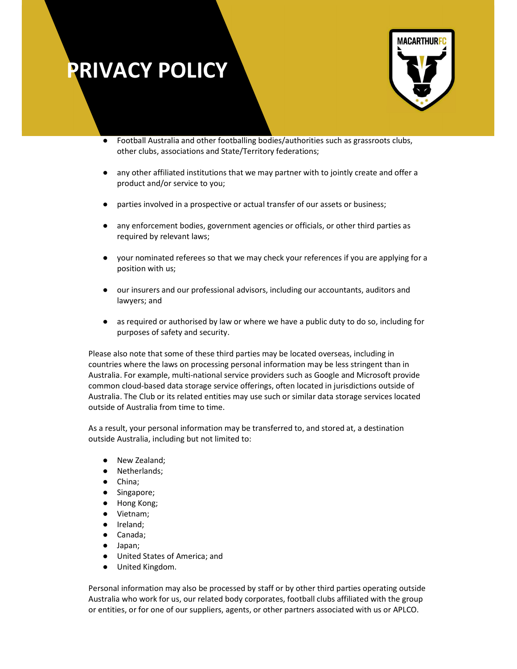

- Football Australia and other footballing bodies/authorities such as grassroots clubs, other clubs, associations and State/Territory federations;
- any other affiliated institutions that we may partner with to jointly create and offer a product and/or service to you;
- parties involved in a prospective or actual transfer of our assets or business;
- any enforcement bodies, government agencies or officials, or other third parties as required by relevant laws;
- your nominated referees so that we may check your references if you are applying for a position with us;
- our insurers and our professional advisors, including our accountants, auditors and lawyers; and
- as required or authorised by law or where we have a public duty to do so, including for purposes of safety and security.

Please also note that some of these third parties may be located overseas, including in countries where the laws on processing personal information may be less stringent than in Australia. For example, multi-national service providers such as Google and Microsoft provide common cloud-based data storage service offerings, often located in jurisdictions outside of Australia. The Club or its related entities may use such or similar data storage services located outside of Australia from time to time.

As a result, your personal information may be transferred to, and stored at, a destination outside Australia, including but not limited to:

- New Zealand;
- Netherlands;
- China;
- Singapore;
- Hong Kong;
- Vietnam;
- Ireland;
- Canada;
- Japan;
- United States of America; and
- United Kingdom.

Personal information may also be processed by staff or by other third parties operating outside Australia who work for us, our related body corporates, football clubs affiliated with the group or entities, or for one of our suppliers, agents, or other partners associated with us or APLCO.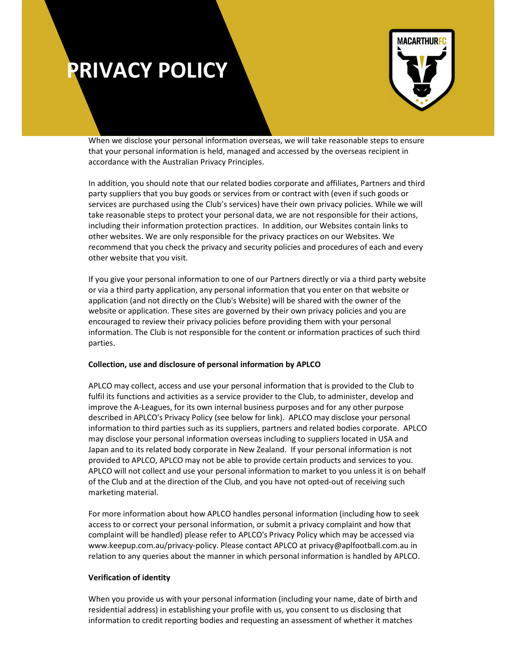

When we disclose your personal information overseas, we will take reasonable steps to ensure that your personal information is held, managed and accessed by the overseas recipient in accordance with the Australian Privacy Principles.

In addition, you should note that our related bodies corporate and affiliates, Partners and third party suppliers that you buy goods or services from or contract with (even if such goods or services are purchased using the Club's services) have their own privacy policies. While we will take reasonable steps to protect your personal data, we are not responsible for their actions, including their information protection practices. In addition, our Websites contain links to other websites. We are only responsible for the privacy practices on our Websites. We recommend that you check the privacy and security policies and procedures of each and every other website that you visit.

If you give your personal information to one of our Partners directly or via a third party website or via a third party application, any personal information that you enter on that website or application (and not directly on the Club's Website) will be shared with the owner of the website or application. These sites are governed by their own privacy policies and you are encouraged to review their privacy policies before providing them with your personal information. The Club is not responsible for the content or information practices of such third parties.

### Collection, use and disclosure of personal information by APLCO

APLCO may collect, access and use your personal information that is provided to the Club to fulfil its functions and activities as a service provider to the Club, to administer, develop and improve the A-Leagues, for its own internal business purposes and for any other purpose described in APLCO's Privacy Policy (see below for link). APLCO may disclose your personal information to third parties such as its suppliers, partners and related bodies corporate. APLCO may disclose your personal information overseas including to suppliers located in USA and Japan and to its related body corporate in New Zealand. If your personal information is not provided to APLCO, APLCO may not be able to provide certain products and services to you. APLCO will not collect and use your personal information to market to you unless it is on behalf of the Club and at the direction of the Club, and you have not opted-out of receiving such marketing material.

For more information about how APLCO handles personal information (including how to seek access to or correct your personal information, or submit a privacy complaint and how that complaint will be handled) please refer to APLCO's Privacy Policy which may be accessed via www.keepup.com.au/privacy-policy. Please contact APLCO at privacy@aplfootball.com.au in relation to any queries about the manner in which personal information is handled by APLCO.

### Verification of identity

When you provide us with your personal information (including your name, date of birth and residential address) in establishing your profile with us, you consent to us disclosing that information to credit reporting bodies and requesting an assessment of whether it matches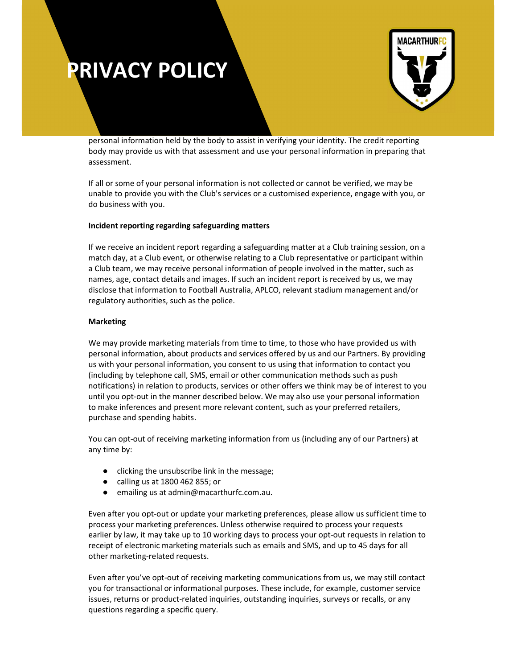

personal information held by the body to assist in verifying your identity. The credit reporting body may provide us with that assessment and use your personal information in preparing that assessment.

If all or some of your personal information is not collected or cannot be verified, we may be unable to provide you with the Club's services or a customised experience, engage with you, or do business with you.

### Incident reporting regarding safeguarding matters

If we receive an incident report regarding a safeguarding matter at a Club training session, on a match day, at a Club event, or otherwise relating to a Club representative or participant within a Club team, we may receive personal information of people involved in the matter, such as names, age, contact details and images. If such an incident report is received by us, we may disclose that information to Football Australia, APLCO, relevant stadium management and/or regulatory authorities, such as the police.

### Marketing

We may provide marketing materials from time to time, to those who have provided us with personal information, about products and services offered by us and our Partners. By providing us with your personal information, you consent to us using that information to contact you (including by telephone call, SMS, email or other communication methods such as push notifications) in relation to products, services or other offers we think may be of interest to you until you opt-out in the manner described below. We may also use your personal information to make inferences and present more relevant content, such as your preferred retailers, purchase and spending habits.

You can opt-out of receiving marketing information from us (including any of our Partners) at any time by:

- clicking the unsubscribe link in the message;
- calling us at 1800 462 855; or
- emailing us at admin@macarthurfc.com.au.

Even after you opt-out or update your marketing preferences, please allow us sufficient time to process your marketing preferences. Unless otherwise required to process your requests earlier by law, it may take up to 10 working days to process your opt-out requests in relation to receipt of electronic marketing materials such as emails and SMS, and up to 45 days for all other marketing-related requests.

Even after you've opt-out of receiving marketing communications from us, we may still contact you for transactional or informational purposes. These include, for example, customer service issues, returns or product-related inquiries, outstanding inquiries, surveys or recalls, or any questions regarding a specific query.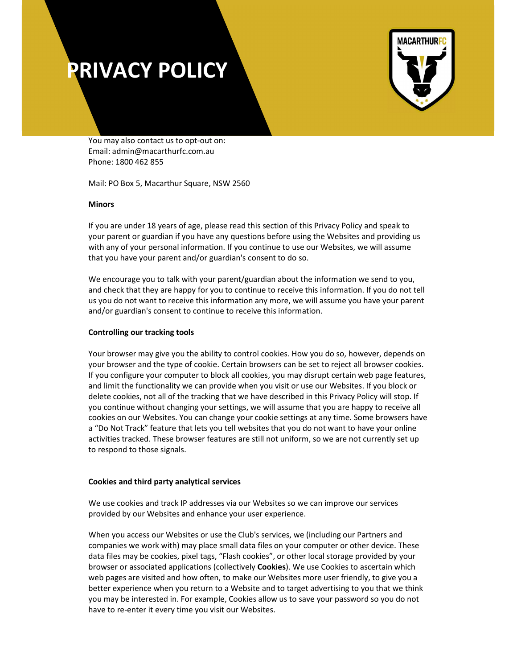

You may also contact us to opt-out on: Email: admin@macarthurfc.com.au Phone: 1800 462 855

Mail: PO Box 5, Macarthur Square, NSW 2560

### Minors

If you are under 18 years of age, please read this section of this Privacy Policy and speak to your parent or guardian if you have any questions before using the Websites and providing us with any of your personal information. If you continue to use our Websites, we will assume that you have your parent and/or guardian's consent to do so.

We encourage you to talk with your parent/guardian about the information we send to you, and check that they are happy for you to continue to receive this information. If you do not tell us you do not want to receive this information any more, we will assume you have your parent and/or guardian's consent to continue to receive this information.

### Controlling our tracking tools

Your browser may give you the ability to control cookies. How you do so, however, depends on your browser and the type of cookie. Certain browsers can be set to reject all browser cookies. If you configure your computer to block all cookies, you may disrupt certain web page features, and limit the functionality we can provide when you visit or use our Websites. If you block or delete cookies, not all of the tracking that we have described in this Privacy Policy will stop. If you continue without changing your settings, we will assume that you are happy to receive all cookies on our Websites. You can change your cookie settings at any time. Some browsers have a "Do Not Track" feature that lets you tell websites that you do not want to have your online activities tracked. These browser features are still not uniform, so we are not currently set up to respond to those signals.

### Cookies and third party analytical services

We use cookies and track IP addresses via our Websites so we can improve our services provided by our Websites and enhance your user experience.

When you access our Websites or use the Club's services, we (including our Partners and companies we work with) may place small data files on your computer or other device. These data files may be cookies, pixel tags, "Flash cookies", or other local storage provided by your browser or associated applications (collectively **Cookies**). We use Cookies to ascertain which web pages are visited and how often, to make our Websites more user friendly, to give you a better experience when you return to a Website and to target advertising to you that we think you may be interested in. For example, Cookies allow us to save your password so you do not have to re-enter it every time you visit our Websites.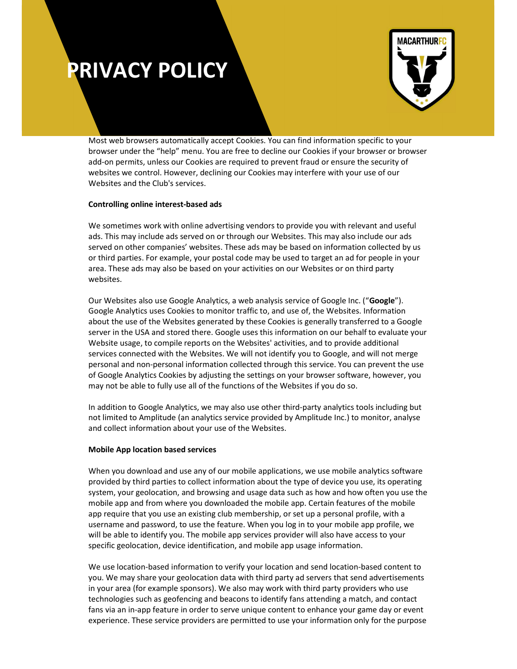

Most web browsers automatically accept Cookies. You can find information specific to your browser under the "help" menu. You are free to decline our Cookies if your browser or browser add-on permits, unless our Cookies are required to prevent fraud or ensure the security of websites we control. However, declining our Cookies may interfere with your use of our Websites and the Club's services.

### Controlling online interest-based ads

We sometimes work with online advertising vendors to provide you with relevant and useful ads. This may include ads served on or through our Websites. This may also include our ads served on other companies' websites. These ads may be based on information collected by us or third parties. For example, your postal code may be used to target an ad for people in your area. These ads may also be based on your activities on our Websites or on third party websites.

Our Websites also use Google Analytics, a web analysis service of Google Inc. ("Google"). Google Analytics uses Cookies to monitor traffic to, and use of, the Websites. Information about the use of the Websites generated by these Cookies is generally transferred to a Google server in the USA and stored there. Google uses this information on our behalf to evaluate your Website usage, to compile reports on the Websites' activities, and to provide additional services connected with the Websites. We will not identify you to Google, and will not merge personal and non-personal information collected through this service. You can prevent the use of Google Analytics Cookies by adjusting the settings on your browser software, however, you may not be able to fully use all of the functions of the Websites if you do so.

In addition to Google Analytics, we may also use other third-party analytics tools including but not limited to Amplitude (an analytics service provided by Amplitude Inc.) to monitor, analyse and collect information about your use of the Websites.

### Mobile App location based services

When you download and use any of our mobile applications, we use mobile analytics software provided by third parties to collect information about the type of device you use, its operating system, your geolocation, and browsing and usage data such as how and how often you use the mobile app and from where you downloaded the mobile app. Certain features of the mobile app require that you use an existing club membership, or set up a personal profile, with a username and password, to use the feature. When you log in to your mobile app profile, we will be able to identify you. The mobile app services provider will also have access to your specific geolocation, device identification, and mobile app usage information.

We use location-based information to verify your location and send location-based content to you. We may share your geolocation data with third party ad servers that send advertisements in your area (for example sponsors). We also may work with third party providers who use technologies such as geofencing and beacons to identify fans attending a match, and contact fans via an in-app feature in order to serve unique content to enhance your game day or event experience. These service providers are permitted to use your information only for the purpose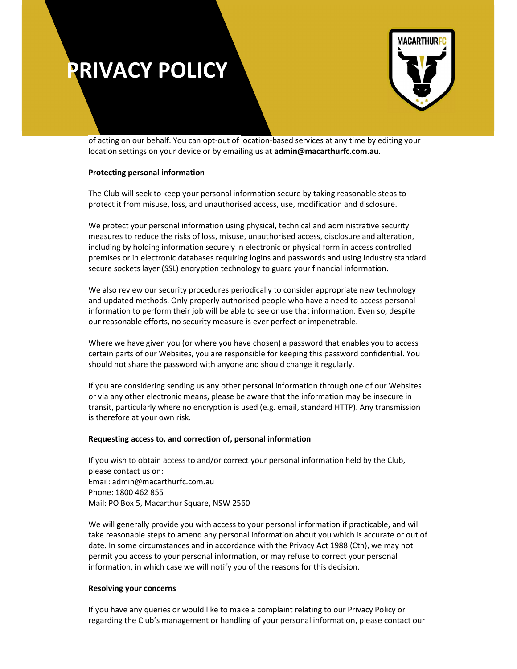

of acting on our behalf. You can opt-out of location-based services at any time by editing your location settings on your device or by emailing us at admin@macarthurfc.com.au.

### Protecting personal information

The Club will seek to keep your personal information secure by taking reasonable steps to protect it from misuse, loss, and unauthorised access, use, modification and disclosure.

We protect your personal information using physical, technical and administrative security measures to reduce the risks of loss, misuse, unauthorised access, disclosure and alteration, including by holding information securely in electronic or physical form in access controlled premises or in electronic databases requiring logins and passwords and using industry standard secure sockets layer (SSL) encryption technology to guard your financial information.

We also review our security procedures periodically to consider appropriate new technology and updated methods. Only properly authorised people who have a need to access personal information to perform their job will be able to see or use that information. Even so, despite our reasonable efforts, no security measure is ever perfect or impenetrable.

Where we have given you (or where you have chosen) a password that enables you to access certain parts of our Websites, you are responsible for keeping this password confidential. You should not share the password with anyone and should change it regularly.

If you are considering sending us any other personal information through one of our Websites or via any other electronic means, please be aware that the information may be insecure in transit, particularly where no encryption is used (e.g. email, standard HTTP). Any transmission is therefore at your own risk.

#### Requesting access to, and correction of, personal information

If you wish to obtain access to and/or correct your personal information held by the Club, please contact us on: Email: admin@macarthurfc.com.au Phone: 1800 462 855 Mail: PO Box 5, Macarthur Square, NSW 2560

We will generally provide you with access to your personal information if practicable, and will take reasonable steps to amend any personal information about you which is accurate or out of date. In some circumstances and in accordance with the Privacy Act 1988 (Cth), we may not permit you access to your personal information, or may refuse to correct your personal information, in which case we will notify you of the reasons for this decision.

#### Resolving your concerns

If you have any queries or would like to make a complaint relating to our Privacy Policy or regarding the Club's management or handling of your personal information, please contact our